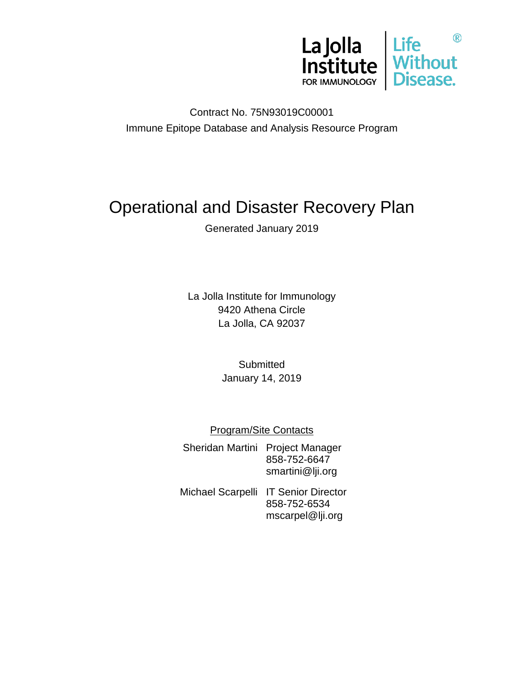

Contract No. 75N93019C00001 Immune Epitope Database and Analysis Resource Program

# Operational and Disaster Recovery Plan

Generated January 2019

La Jolla Institute for Immunology 9420 Athena Circle La Jolla, CA 92037

> **Submitted** January 14, 2019

Program/Site Contacts

Sheridan Martini Project Manager 858-752-6647 smartini@lji.org

Michael Scarpelli IT Senior Director 858-752-6534 mscarpel@lji.org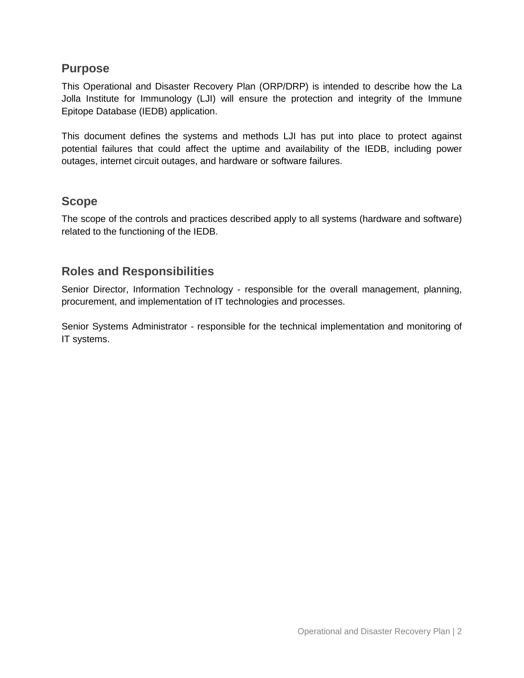#### **Purpose**

This Operational and Disaster Recovery Plan (ORP/DRP) is intended to describe how the La Jolla Institute for Immunology (LJI) will ensure the protection and integrity of the Immune Epitope Database (IEDB) application.

This document defines the systems and methods LJI has put into place to protect against potential failures that could affect the uptime and availability of the IEDB, including power outages, internet circuit outages, and hardware or software failures.

### **Scope**

The scope of the controls and practices described apply to all systems (hardware and software) related to the functioning of the IEDB.

## **Roles and Responsibilities**

Senior Director, Information Technology - responsible for the overall management, planning, procurement, and implementation of IT technologies and processes.

Senior Systems Administrator - responsible for the technical implementation and monitoring of IT systems.